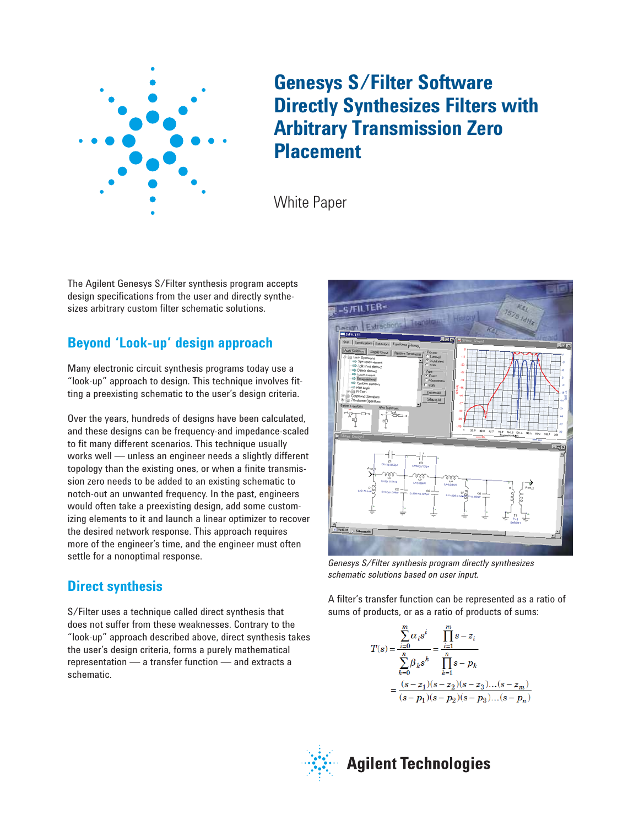

# **Genesys S/Filter Software Directly Synthesizes Filters with Arbitrary Transmission Zero Placement**

White Paper

The Agilent Genesys S/Filter synthesis program accepts design specifications from the user and directly synthesizes arbitrary custom filter schematic solutions.

## **Beyond 'Look-up' design approach**

Many electronic circuit synthesis programs today use a "look-up" approach to design. This technique involves fitting a preexisting schematic to the user's design criteria.

Over the years, hundreds of designs have been calculated, and these designs can be frequency-and impedance-scaled to fit many different scenarios. This technique usually works well — unless an engineer needs a slightly different topology than the existing ones, or when a finite transmission zero needs to be added to an existing schematic to notch-out an unwanted frequency. In the past, engineers would often take a preexisting design, add some customizing elements to it and launch a linear optimizer to recover the desired network response. This approach requires more of the engineer's time, and the engineer must often settle for a nonoptimal response.

## **Direct synthesis**

S/Filter uses a technique called direct synthesis that does not suffer from these weaknesses. Contrary to the "look-up" approach described above, direct synthesis takes the user's design criteria, forms a purely mathematical representation — a transfer function — and extracts a schematic.



*Genesys S/Filter synthesis program directly synthesizes schematic solutions based on user input.*

A filter's transfer function can be represented as a ratio of sums of products, or as a ratio of products of sums:

$$
T(s) = \frac{\sum_{i=0}^{m} \alpha_i s^i}{\sum_{k=0}^{n} \beta_k s^k} = \frac{\prod_{i=1}^{m} s - z_i}{\prod_{k=1}^{n} s - p_k}
$$

$$
= \frac{(s - z_1)(s - z_2)(s - z_3)...(s - z_m)}{(s - p_1)(s - p_2)(s - p_3)...(s - p_n)}
$$

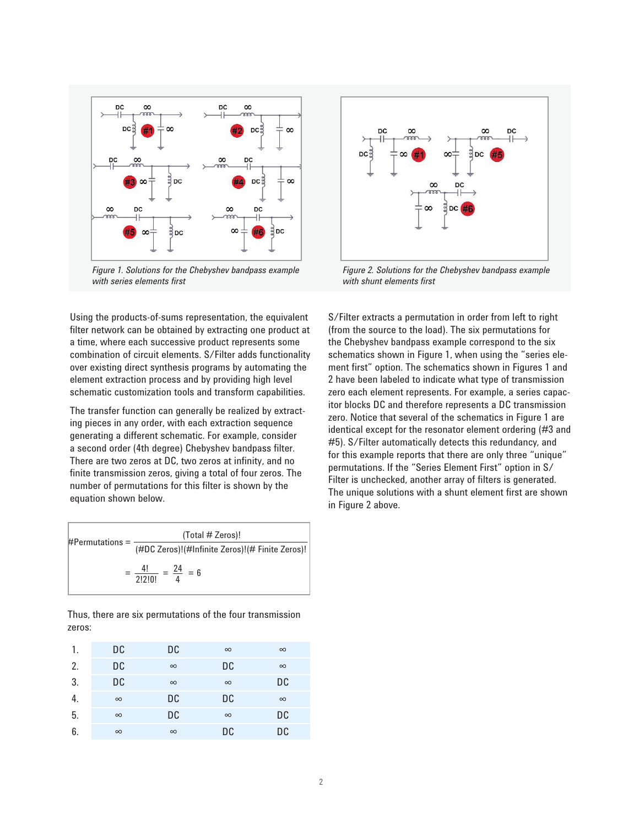

*Figure 1. Solutions for the Chebyshev bandpass example with series elements first*

Using the products-of-sums representation, the equivalent filter network can be obtained by extracting one product at a time, where each successive product represents some combination of circuit elements. S/Filter adds functionality over existing direct synthesis programs by automating the element extraction process and by providing high level schematic customization tools and transform capabilities.

The transfer function can generally be realized by extracting pieces in any order, with each extraction sequence generating a different schematic. For example, consider a second order (4th degree) Chebyshev bandpass filter. There are two zeros at DC, two zeros at infinity, and no finite transmission zeros, giving a total of four zeros. The number of permutations for this filter is shown by the equation shown below.

 $=\frac{4!}{2!2!0!} = \frac{24}{4} = 6$ \_\_\_\_\_\_\_\_\_\_\_\_\_\_\_\_\_\_\_\_\_\_\_\_\_\_\_\_\_\_\_\_\_\_\_\_\_ #Permutations = (Total # Zeros)! (#DC Zeros)!(#Infinite Zeros)!(# Finite Zeros)!

Thus, there are six permutations of the four transmission zeros:

| 1. | DC       | DC       | $\infty$ | $\infty$ |
|----|----------|----------|----------|----------|
| 2. | DC       | $\infty$ | DC       | $\infty$ |
| 3. | DC       | $\infty$ | $\infty$ | DC       |
| 4. | $\infty$ | DC       | DC       | $\infty$ |
| 5. | $\infty$ | DC       | $\infty$ | DC       |
| 6. | $\infty$ | $\infty$ | DC       | DC       |



*Figure 2. Solutions for the Chebyshev bandpass example with shunt elements first*

S/Filter extracts a permutation in order from left to right (from the source to the load). The six permutations for the Chebyshev bandpass example correspond to the six schematics shown in Figure 1, when using the "series element first" option. The schematics shown in Figures 1 and 2 have been labeled to indicate what type of transmission zero each element represents. For example, a series capacitor blocks DC and therefore represents a DC transmission zero. Notice that several of the schematics in Figure 1 are identical except for the resonator element ordering (#3 and #5). S/Filter automatically detects this redundancy, and for this example reports that there are only three "unique" permutations. If the "Series Element First" option in S/ Filter is unchecked, another array of filters is generated. The unique solutions with a shunt element first are shown in Figure 2 above.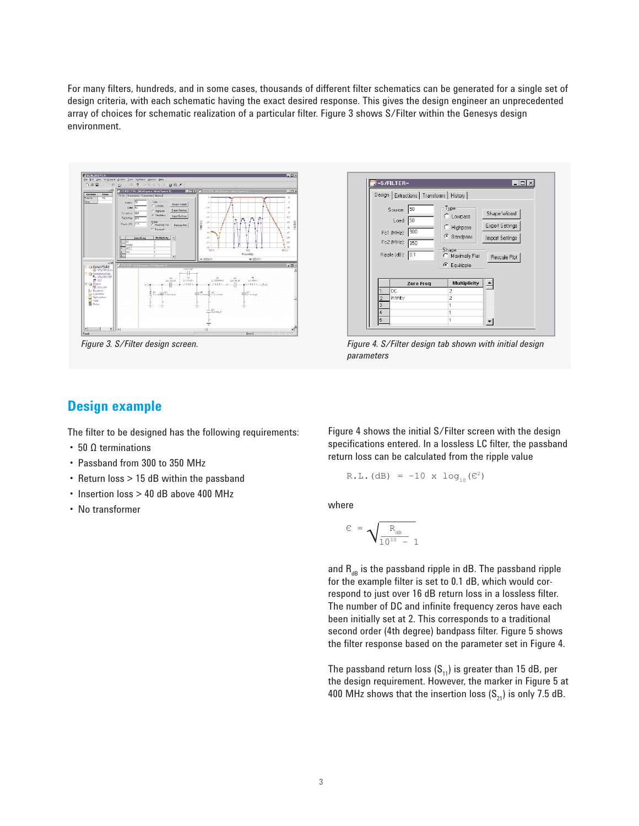For many filters, hundreds, and in some cases, thousands of different filter schematics can be generated for a single set of design criteria, with each schematic having the exact desired response. This gives the design engineer an unprecedented array of choices for schematic realization of a particular filter. Figure 3 shows S/Filter within the Genesys design environment.





*Figure 3. S/Filter design screen. Figure 4. S/Filter design tab shown with initial design parameters*

#### **Design example**

The filter to be designed has the following requirements:

- 50 Ω terminations
- Passband from 300 to 350 MHz
- Return loss > 15 dB within the passband
- Insertion loss > 40 dB above 400 MHz
- No transformer

Figure 4 shows the initial S/Filter screen with the design specifications entered. In a lossless LC filter, the passband return loss can be calculated from the ripple value

R.L. (dB) = -10 x 
$$
log_{10}(C^2)
$$

where

$$
\varepsilon = \sqrt{\frac{R_{_{dB}}}{10^{10} - 1}}
$$

and  $R_{dR}$  is the passband ripple in dB. The passband ripple for the example filter is set to 0.1 dB, which would correspond to just over 16 dB return loss in a lossless filter. The number of DC and infinite frequency zeros have each been initially set at 2. This corresponds to a traditional second order (4th degree) bandpass filter. Figure 5 shows the filter response based on the parameter set in Figure 4.

The passband return loss  $(S_{11})$  is greater than 15 dB, per the design requirement. However, the marker in Figure 5 at 400 MHz shows that the insertion loss  $(S_{21})$  is only 7.5 dB.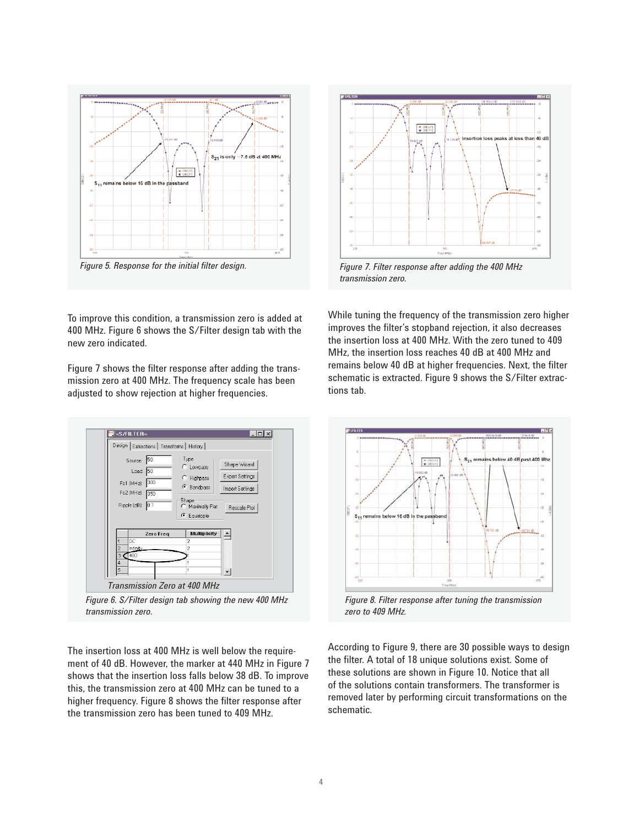

*Figure 5. Response for the initial filter design.*



*Figure 7. Filter response after adding the 400 MHz transmission zero.*

To improve this condition, a transmission zero is added at 400 MHz. Figure 6 shows the S/Filter design tab with the new zero indicated.

Figure 7 shows the filter response after adding the transmission zero at 400 MHz. The frequency scale has been adjusted to show rejection at higher frequencies.



*Figure 6. S/Filter design tab showing the new 400 MHz transmission zero.*

The insertion loss at 400 MHz is well below the requirement of 40 dB. However, the marker at 440 MHz in Figure 7 shows that the insertion loss falls below 38 dB. To improve this, the transmission zero at 400 MHz can be tuned to a higher frequency. Figure 8 shows the filter response after the transmission zero has been tuned to 409 MHz.

While tuning the frequency of the transmission zero higher improves the filter's stopband rejection, it also decreases the insertion loss at 400 MHz. With the zero tuned to 409 MHz, the insertion loss reaches 40 dB at 400 MHz and remains below 40 dB at higher frequencies. Next, the filter schematic is extracted. Figure 9 shows the S/Filter extractions tab.



*Figure 8. Filter response after tuning the transmission zero to 409 MHz.*

According to Figure 9, there are 30 possible ways to design the filter. A total of 18 unique solutions exist. Some of these solutions are shown in Figure 10. Notice that all of the solutions contain transformers. The transformer is removed later by performing circuit transformations on the schematic.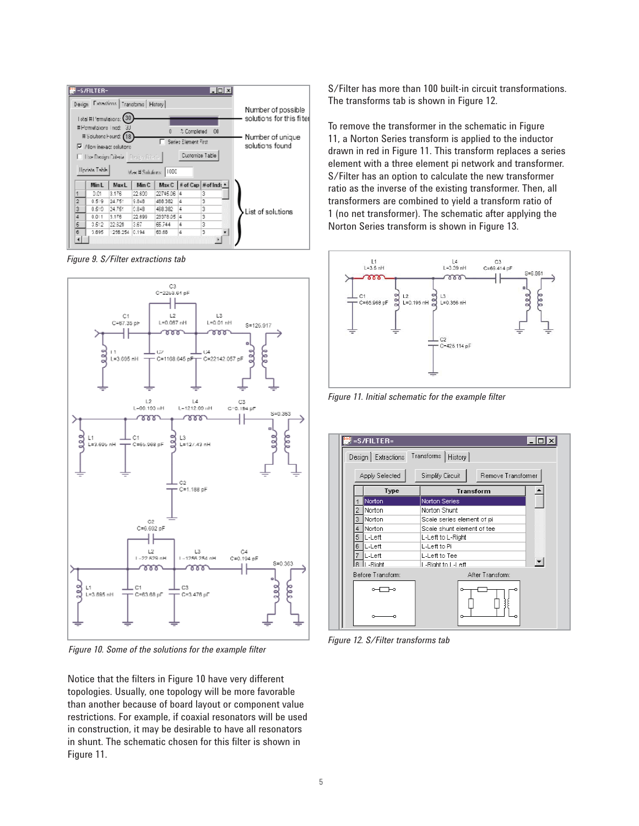

*Figure 9. S/Filter extractions tab*



*Figure 10. Some of the solutions for the example filter*

Notice that the filters in Figure 10 have very different topologies. Usually, one topology will be more favorable than another because of board layout or component value restrictions. For example, if coaxial resonators will be used in construction, it may be desirable to have all resonators in shunt. The schematic chosen for this filter is shown in Figure 11.

S/Filter has more than 100 built-in circuit transformations. The transforms tab is shown in Figure 12.

To remove the transformer in the schematic in Figure 11, a Norton Series transform is applied to the inductor drawn in red in Figure 11. This transform replaces a series element with a three element pi network and transformer. S/Filter has an option to calculate the new transformer ratio as the inverse of the existing transformer. Then, all transformers are combined to yield a transform ratio of 1 (no net transformer). The schematic after applying the Norton Series transform is shown in Figure 13.



*Figure 11. Initial schematic for the example filter*



*Figure 12. S/Filter transforms tab*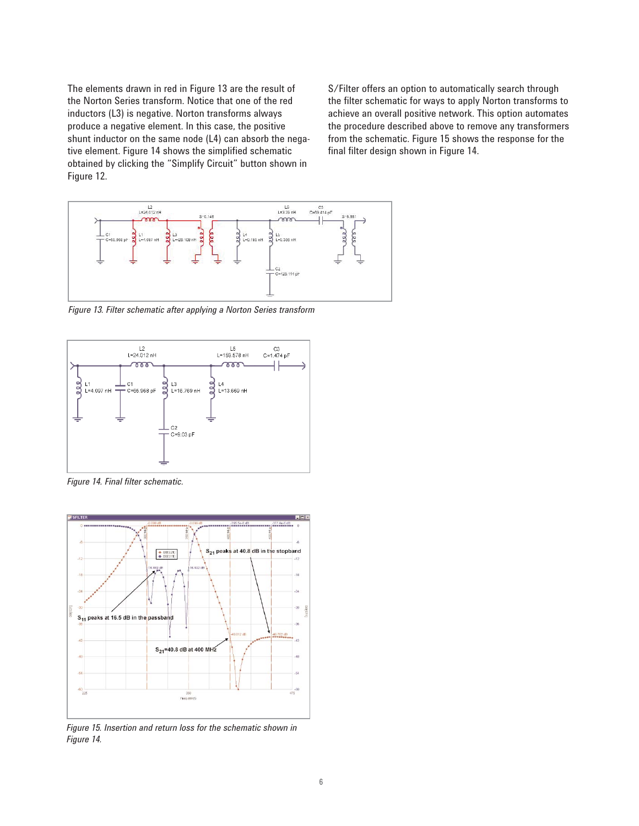The elements drawn in red in Figure 13 are the result of the Norton Series transform. Notice that one of the red inductors (L3) is negative. Norton transforms always produce a negative element. In this case, the positive shunt inductor on the same node (L4) can absorb the negative element. Figure 14 shows the simplified schematic obtained by clicking the "Simplify Circuit" button shown in Figure 12.

S/Filter offers an option to automatically search through the filter schematic for ways to apply Norton transforms to achieve an overall positive network. This option automates the procedure described above to remove any transformers from the schematic. Figure 15 shows the response for the final filter design shown in Figure 14.



*Figure 13. Filter schematic after applying a Norton Series transform*



*Figure 14. Final filter schematic.*



*Figure 15. Insertion and return loss for the schematic shown in Figure 14.*